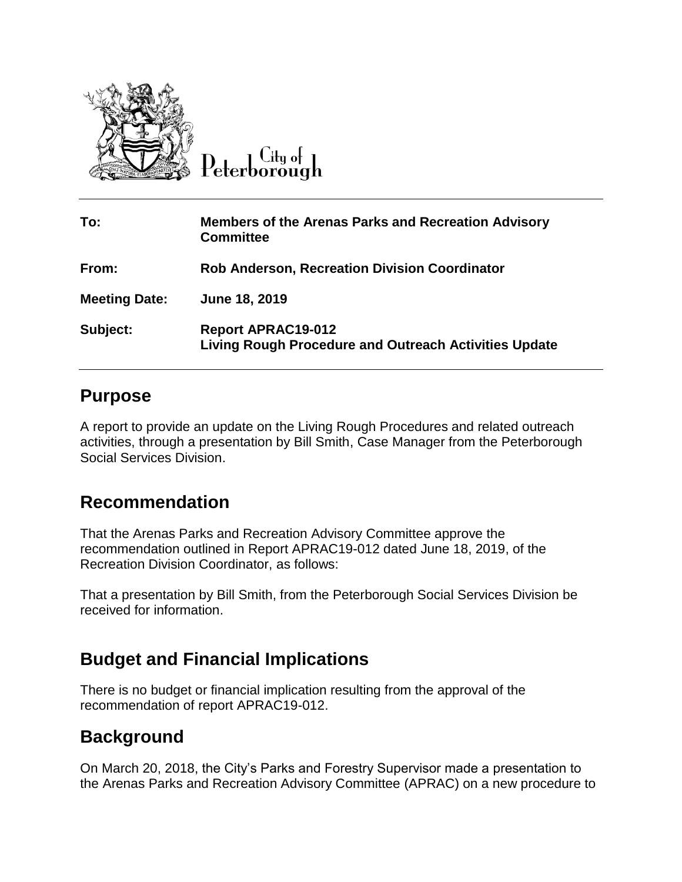

 $C$ ity of

| To:                  | <b>Members of the Arenas Parks and Recreation Advisory</b><br><b>Committee</b>     |
|----------------------|------------------------------------------------------------------------------------|
| From:                | <b>Rob Anderson, Recreation Division Coordinator</b>                               |
| <b>Meeting Date:</b> | June 18, 2019                                                                      |
| Subject:             | <b>Report APRAC19-012</b><br>Living Rough Procedure and Outreach Activities Update |

## **Purpose**

A report to provide an update on the Living Rough Procedures and related outreach activities, through a presentation by Bill Smith, Case Manager from the Peterborough Social Services Division.

## **Recommendation**

That the Arenas Parks and Recreation Advisory Committee approve the recommendation outlined in Report APRAC19-012 dated June 18, 2019, of the Recreation Division Coordinator, as follows:

That a presentation by Bill Smith, from the Peterborough Social Services Division be received for information.

## **Budget and Financial Implications**

There is no budget or financial implication resulting from the approval of the recommendation of report APRAC19-012.

## **Background**

On March 20, 2018, the City's Parks and Forestry Supervisor made a presentation to the Arenas Parks and Recreation Advisory Committee (APRAC) on a new procedure to